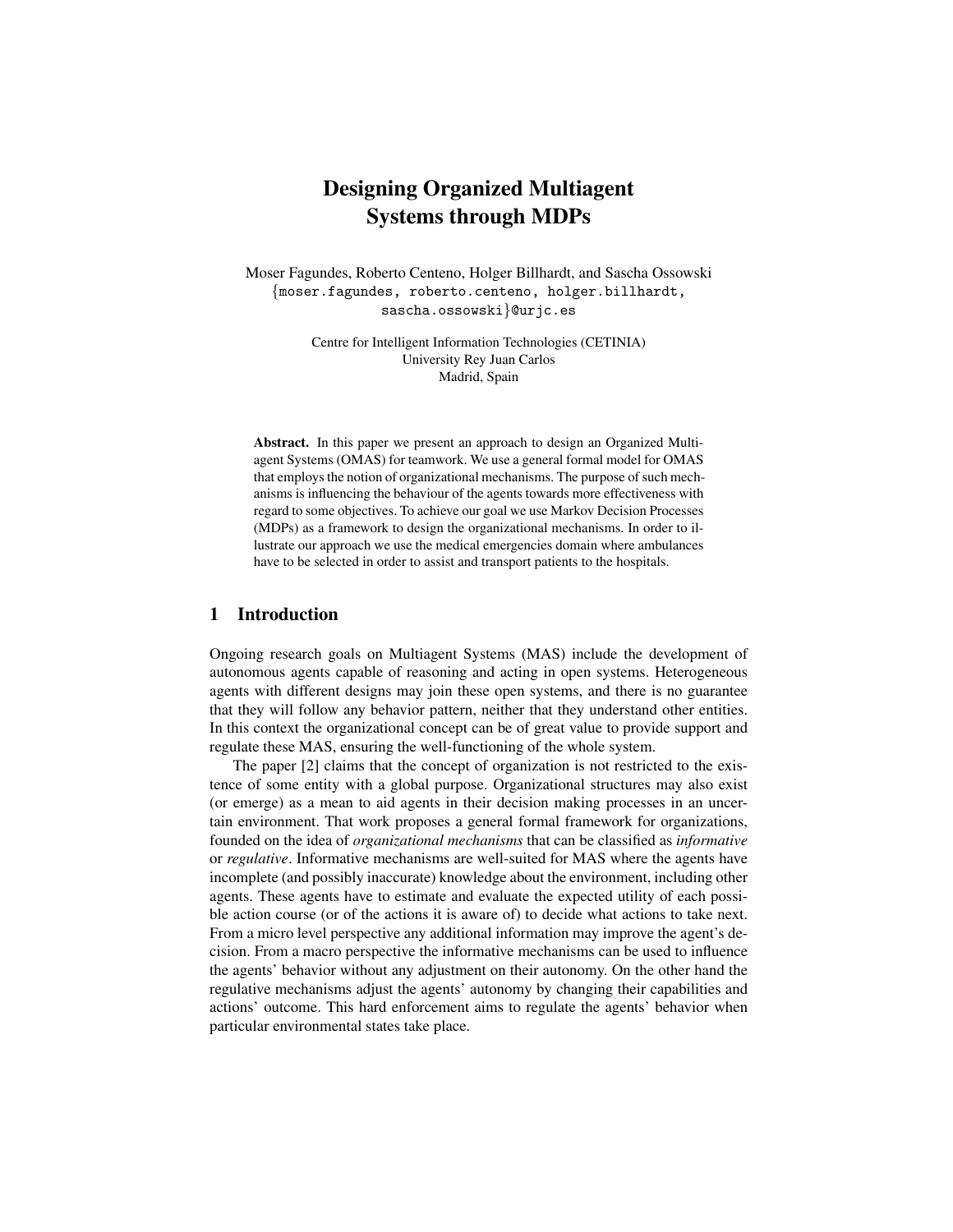# Designing Organized Multiagent Systems through MDPs

Moser Fagundes, Roberto Centeno, Holger Billhardt, and Sascha Ossowski {moser.fagundes, roberto.centeno, holger.billhardt, sascha.ossowski}@urjc.es

> Centre for Intelligent Information Technologies (CETINIA) University Rey Juan Carlos Madrid, Spain

Abstract. In this paper we present an approach to design an Organized Multiagent Systems (OMAS) for teamwork. We use a general formal model for OMAS that employs the notion of organizational mechanisms. The purpose of such mechanisms is influencing the behaviour of the agents towards more effectiveness with regard to some objectives. To achieve our goal we use Markov Decision Processes (MDPs) as a framework to design the organizational mechanisms. In order to illustrate our approach we use the medical emergencies domain where ambulances have to be selected in order to assist and transport patients to the hospitals.

## 1 Introduction

Ongoing research goals on Multiagent Systems (MAS) include the development of autonomous agents capable of reasoning and acting in open systems. Heterogeneous agents with different designs may join these open systems, and there is no guarantee that they will follow any behavior pattern, neither that they understand other entities. In this context the organizational concept can be of great value to provide support and regulate these MAS, ensuring the well-functioning of the whole system.

The paper [2] claims that the concept of organization is not restricted to the existence of some entity with a global purpose. Organizational structures may also exist (or emerge) as a mean to aid agents in their decision making processes in an uncertain environment. That work proposes a general formal framework for organizations, founded on the idea of *organizational mechanisms* that can be classified as *informative* or *regulative*. Informative mechanisms are well-suited for MAS where the agents have incomplete (and possibly inaccurate) knowledge about the environment, including other agents. These agents have to estimate and evaluate the expected utility of each possible action course (or of the actions it is aware of) to decide what actions to take next. From a micro level perspective any additional information may improve the agent's decision. From a macro perspective the informative mechanisms can be used to influence the agents' behavior without any adjustment on their autonomy. On the other hand the regulative mechanisms adjust the agents' autonomy by changing their capabilities and actions' outcome. This hard enforcement aims to regulate the agents' behavior when particular environmental states take place.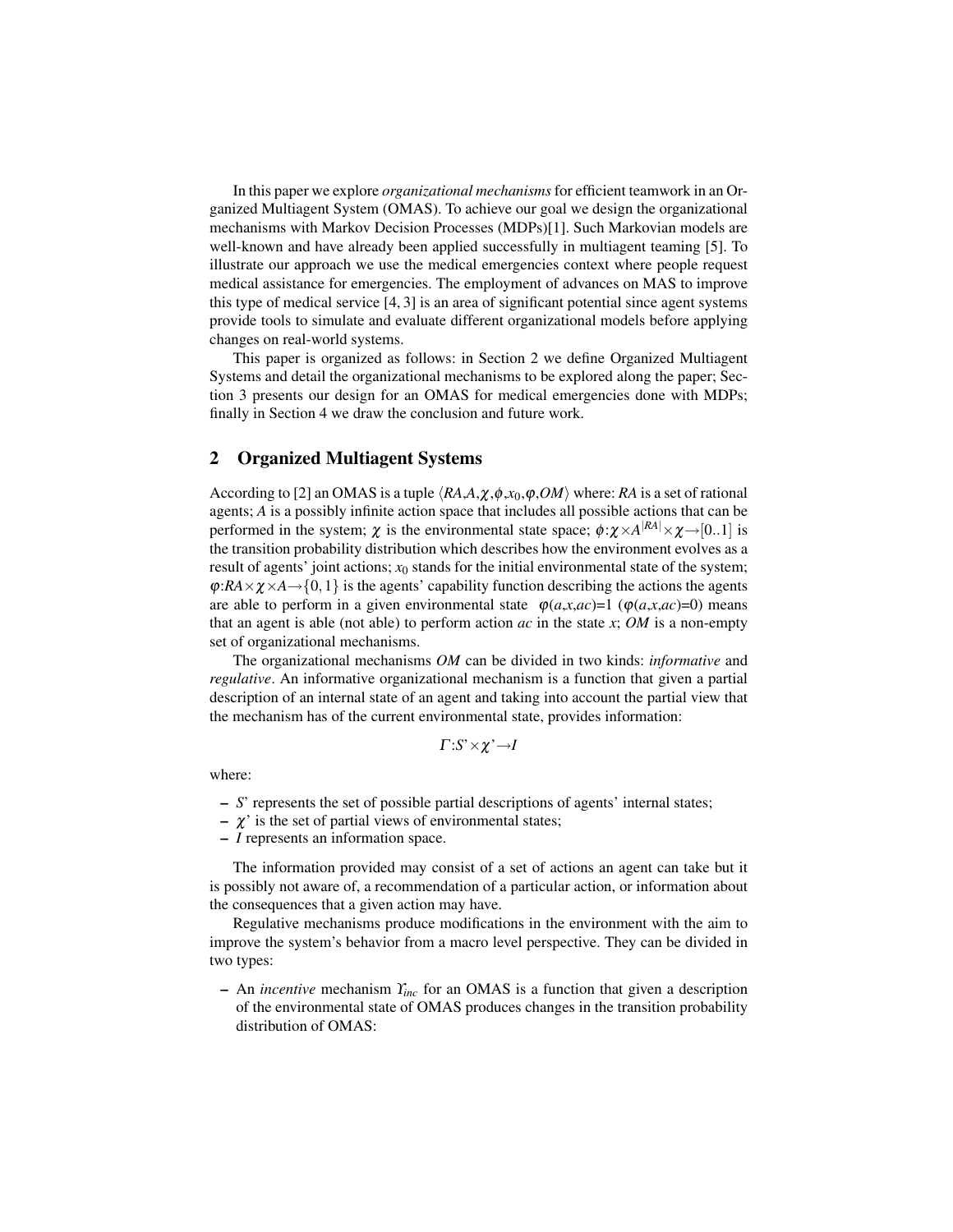In this paper we explore *organizational mechanisms* for efficient teamwork in an Organized Multiagent System (OMAS). To achieve our goal we design the organizational mechanisms with Markov Decision Processes (MDPs)[1]. Such Markovian models are well-known and have already been applied successfully in multiagent teaming [5]. To illustrate our approach we use the medical emergencies context where people request medical assistance for emergencies. The employment of advances on MAS to improve this type of medical service [4, 3] is an area of significant potential since agent systems provide tools to simulate and evaluate different organizational models before applying changes on real-world systems.

This paper is organized as follows: in Section 2 we define Organized Multiagent Systems and detail the organizational mechanisms to be explored along the paper; Section 3 presents our design for an OMAS for medical emergencies done with MDPs; finally in Section 4 we draw the conclusion and future work.

## 2 Organized Multiagent Systems

According to [2] an OMAS is a tuple  $\langle RA, A, \chi, \phi, x_0, \phi, OM \rangle$  where: *RA* is a set of rational agents; *A* is a possibly infinite action space that includes all possible actions that can be performed in the system;  $\chi$  is the environmental state space;  $\phi : \chi \times A^{[RA]} \times \chi \rightarrow [0..1]$  is the transition probability distribution which describes how the environment evolves as a result of agents' joint actions;  $x_0$  stands for the initial environmental state of the system;  $\varphi:RA \times \chi \times A \rightarrow \{0,1\}$  is the agents' capability function describing the actions the agents are able to perform in a given environmental state  $\varphi(a, x, ac) = 1$  ( $\varphi(a, x, ac) = 0$ ) means that an agent is able (not able) to perform action  $ac$  in the state  $x$ ; OM is a non-empty set of organizational mechanisms.

The organizational mechanisms *OM* can be divided in two kinds: *informative* and *regulative*. An informative organizational mechanism is a function that given a partial description of an internal state of an agent and taking into account the partial view that the mechanism has of the current environmental state, provides information:

$$
\Gamma\!:\!S^\prime \!\times\! \chi^\prime \!\!\rightarrow\! I
$$

where:

- *S*' represents the set of possible partial descriptions of agents' internal states;
- $\chi'$  is the set of partial views of environmental states;
- *I* represents an information space.

The information provided may consist of a set of actions an agent can take but it is possibly not aware of, a recommendation of a particular action, or information about the consequences that a given action may have.

Regulative mechanisms produce modifications in the environment with the aim to improve the system's behavior from a macro level perspective. They can be divided in two types:

– An *incentive* mechanism ϒ*inc* for an OMAS is a function that given a description of the environmental state of OMAS produces changes in the transition probability distribution of OMAS: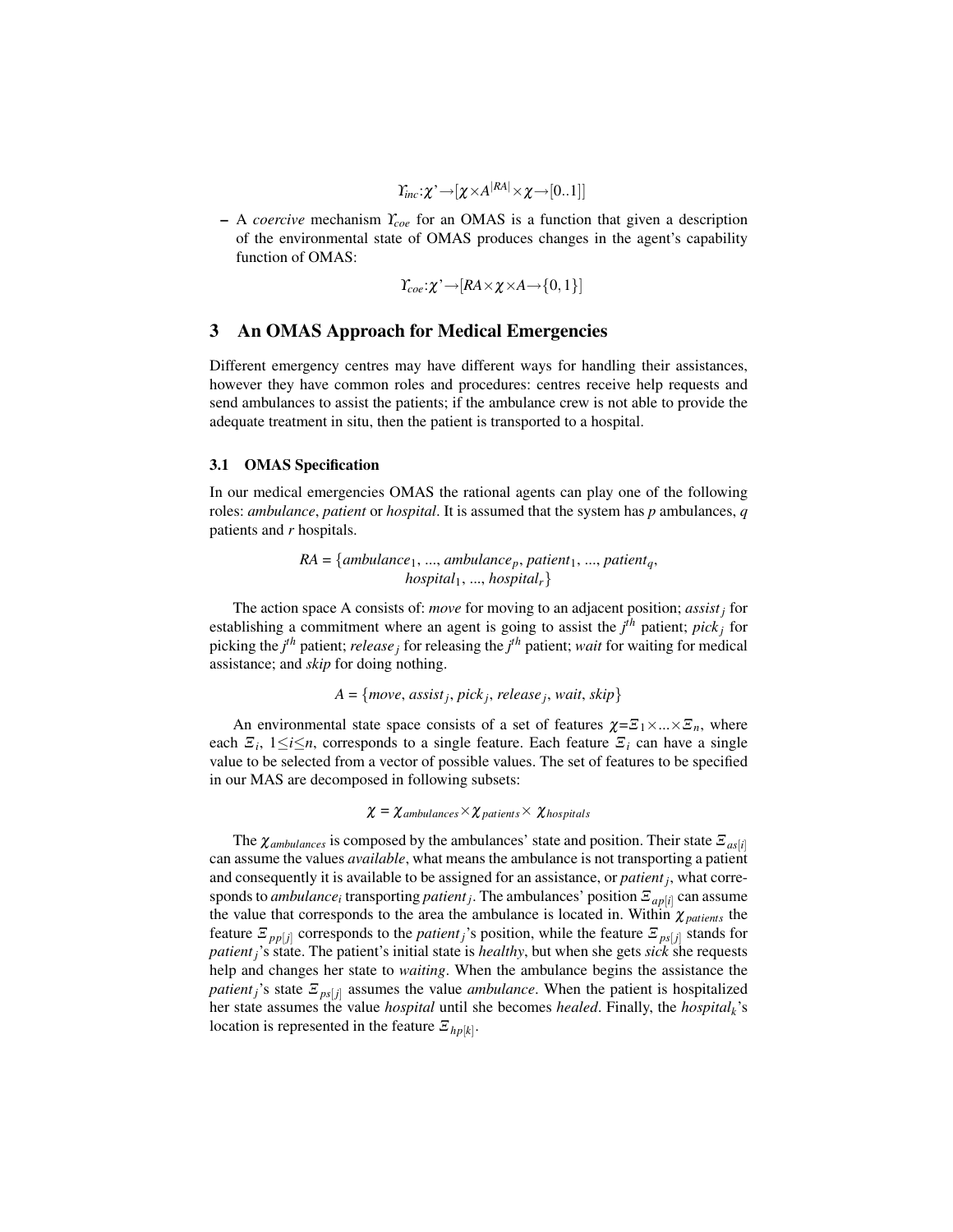$$
\Upsilon_{inc}:\chi^{\prime}\rightarrow[\chi\times A^{|RA|}\times\chi\rightarrow[0..1]]
$$

– A *coercive* mechanism ϒ*coe* for an OMAS is a function that given a description of the environmental state of OMAS produces changes in the agent's capability function of OMAS:

$$
T_{\text{coef}}:\chi^*\!\rightarrow\! [RA \times \chi \times A \rightarrow \{0,1\}]
$$

## 3 An OMAS Approach for Medical Emergencies

Different emergency centres may have different ways for handling their assistances, however they have common roles and procedures: centres receive help requests and send ambulances to assist the patients; if the ambulance crew is not able to provide the adequate treatment in situ, then the patient is transported to a hospital.

#### 3.1 OMAS Specification

In our medical emergencies OMAS the rational agents can play one of the following roles: *ambulance*, *patient* or *hospital*. It is assumed that the system has *p* ambulances, *q* patients and *r* hospitals.

> $RA = \{ambulance_1, ..., ambulance_p, patient_1, ..., patient_q, \}$  $hospital_1, ..., hospital_r$

The action space A consists of: *move* for moving to an adjacent position; *assist<sup>j</sup>* for establishing a commitment where an agent is going to assist the  $j<sup>th</sup>$  patient; *pick*<sub>j</sub> for picking the *j th* patient; *release<sup>j</sup>* for releasing the *j th* patient; *wait* for waiting for medical assistance; and *skip* for doing nothing.

$$
A = \{move, assist_j, pick_j, release_j, wait, skip\}
$$

An environmental state space consists of a set of features  $\chi = \Sigma_1 \times ... \times \Sigma_n$ , where each  $\mathcal{Z}_i$ ,  $1 \leq i \leq n$ , corresponds to a single feature. Each feature  $\mathcal{Z}_i$  can have a single value to be selected from a vector of possible values. The set of features to be specified in our MAS are decomposed in following subsets:

$$
\chi = \chi_{\text{ambulances}} \times \chi_{\text{ patients}} \times \chi_{\text{hospitals}}
$$

The χ*ambulances* is composed by the ambulances' state and position. Their state Ξ*as*[*i*] can assume the values *available*, what means the ambulance is not transporting a patient and consequently it is available to be assigned for an assistance, or *patient<sup>j</sup>* , what corresponds to *ambulance*<sup>*i*</sup> transporting *patient*<sup>*j*</sup>. The ambulances' position  $\mathcal{Z}_{ap[i]}$  can assume the value that corresponds to the area the ambulance is located in. Within  $\chi_{\text{patterns}}$  the feature  $\mathcal{Z}_{pp}[j]$  corresponds to the *patient*<sub>*j*</sub>'s position, while the feature  $\mathcal{Z}_{ps}[j]$  stands for *patientj*'s state. The patient's initial state is *healthy*, but when she gets *sick* she requests help and changes her state to *waiting*. When the ambulance begins the assistance the *patient<sub>j</sub>*'s state  $\mathcal{E}_{ps[j]}$  assumes the value *ambulance*. When the patient is hospitalized her state assumes the value *hospital* until she becomes *healed*. Finally, the *hospitalk*'s location is represented in the feature  $\mathcal{E}_{hp[k]}$ .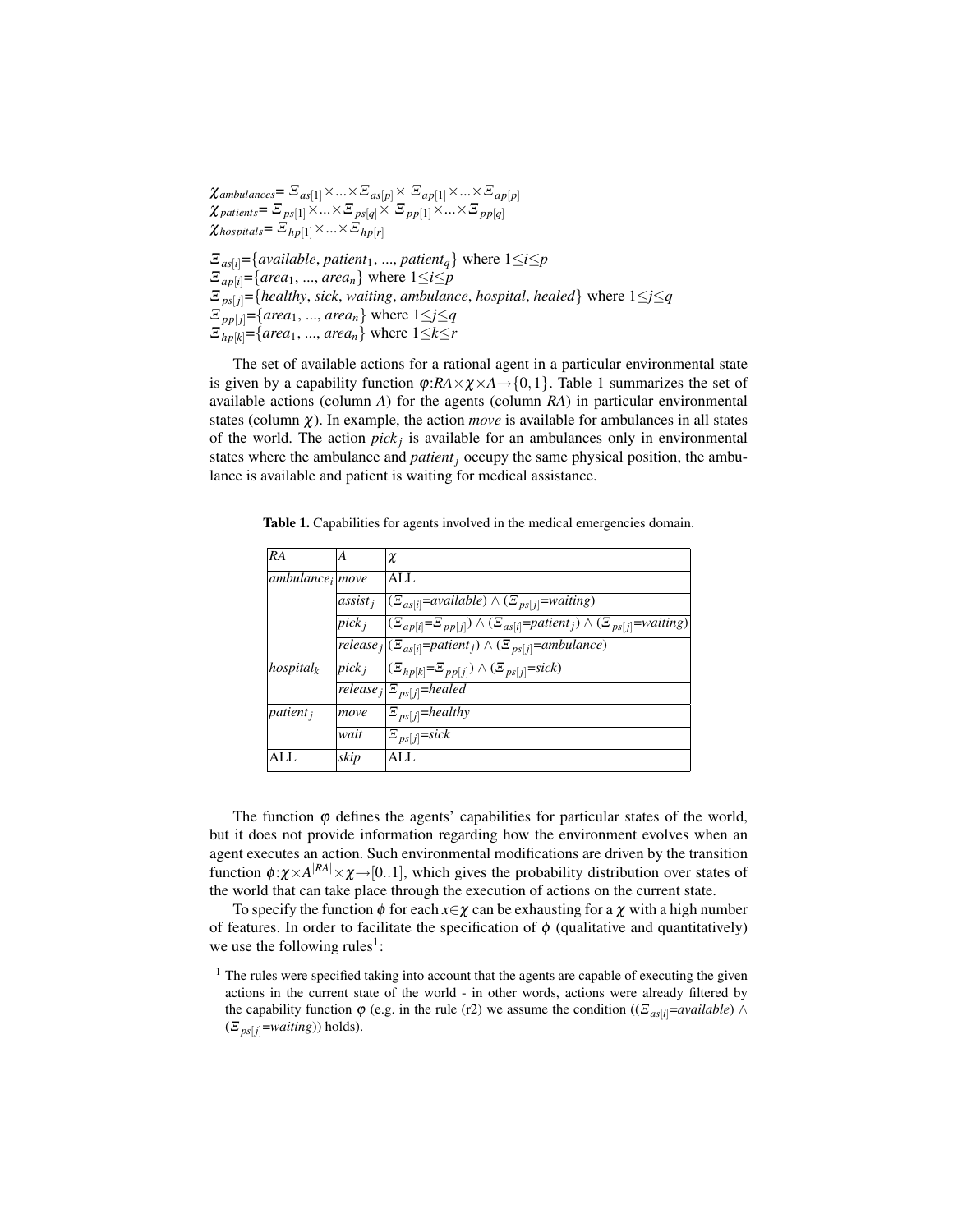$\chi_{\text{ambulances}} = \Xi_{as[1]} \times ... \times \Xi_{as[p]} \times \Xi_{ap[1]} \times ... \times \Xi_{ap[p]}$  $\chi_{\textit{patients}} = \Xi_{\textit{ps}[1]} \times ... \times \Xi_{\textit{ps}[q]} \times \Xi_{\textit{pp}[1]} \times ... \times \Xi_{\textit{pp}[q]}$  $\chi_{hospitals} = \Xi_{h p[1]} \times ... \times \Xi_{h p[r]}$  $\mathcal{Z}_{as[i]} = \{available, patient_1, ..., patient_q\}$  where  $1 \leq i \leq p$  $\mathbb{E}_{\text{ap}[i]} = \{\text{area}_1, \dots, \text{area}_n\}$  where  $1 \leq i \leq p$  $\mathcal{Z}_{ps}[j] = \{ \text{healthy}, \text{ sick}, \text{waiting}, \text{ambulance}, \text{ hospital}, \text{healed} \}$  where  $1 \leq j \leq q$  $\mathbb{E}_{pp[j]} = \{area_1, ..., area_n\}$  where  $1 \leq j \leq q$  $E_{hplk}$  = {*area*<sub>1</sub>, ..., *area*<sub>*n*</sub>} where 1 ≤*k* ≤ *r* 

The set of available actions for a rational agent in a particular environmental state is given by a capability function  $\varphi:RA \times \chi \times A \rightarrow \{0,1\}$ . Table 1 summarizes the set of available actions (column *A*) for the agents (column *RA*) in particular environmental states (column  $\chi$ ). In example, the action *move* is available for ambulances in all states of the world. The action  $pick_j$  is available for an ambulances only in environmental states where the ambulance and *patient j* occupy the same physical position, the ambulance is available and patient is waiting for medical assistance.

| RA                     | IА   | χ                                                                                                                                        |
|------------------------|------|------------------------------------------------------------------------------------------------------------------------------------------|
| $ambulancei$ move      |      | ALL                                                                                                                                      |
|                        |      | <i>assist<sub>j</sub></i> $ E_{as[i]}=available\rangle \wedge (E_{ps[j]}=waiting)$                                                       |
|                        |      | $ pick_j $ $(\mathcal{Z}_{ap[i]} = \mathcal{Z}_{pp[j]}) \wedge (\mathcal{Z}_{as[i]} = patient_j) \wedge (\mathcal{Z}_{ps[j]} = waiting)$ |
|                        |      | release <sub>j</sub> ( $\mathcal{E}_{as[i]}$ =patient <sub>j</sub> ) $\wedge$ ( $\mathcal{E}_{ps[i]}$ =ambulance)                        |
| hospital <sub>k</sub>  |      | $ pick_j $ $(\mathcal{Z}_{hp[k]} = \mathcal{Z}_{pp[j]}) \wedge (\mathcal{Z}_{ps[j]} = sick)$                                             |
|                        |      | $\sqrt{ rel\>{case}_j \mathcal{E}_{ps}[j]}$ =healed                                                                                      |
| $ $ <i>patient</i> $ $ | move | $\mathcal{E}_{ps[j]}$ =healthy                                                                                                           |
|                        | wait | $\overline{\mathcal{E}}_{ps[j]}$ =sick                                                                                                   |
| ALL.                   | skip | AI.                                                                                                                                      |

Table 1. Capabilities for agents involved in the medical emergencies domain.

The function  $\varphi$  defines the agents' capabilities for particular states of the world, but it does not provide information regarding how the environment evolves when an agent executes an action. Such environmental modifications are driven by the transition function  $\phi: \chi \times A^{|RA|} \times \chi \rightarrow [0..1]$ , which gives the probability distribution over states of the world that can take place through the execution of actions on the current state.

To specify the function  $\phi$  for each  $x \in \chi$  can be exhausting for a  $\chi$  with a high number of features. In order to facilitate the specification of  $\phi$  (qualitative and quantitatively) we use the following rules<sup>1</sup>:

<sup>&</sup>lt;sup>1</sup> The rules were specified taking into account that the agents are capable of executing the given actions in the current state of the world - in other words, actions were already filtered by the capability function  $\varphi$  (e.g. in the rule (r2) we assume the condition (( $\Xi_{as}[i] = available$ ) ∧  $(\Xi_{ps[i]} = waiting)$ ) holds).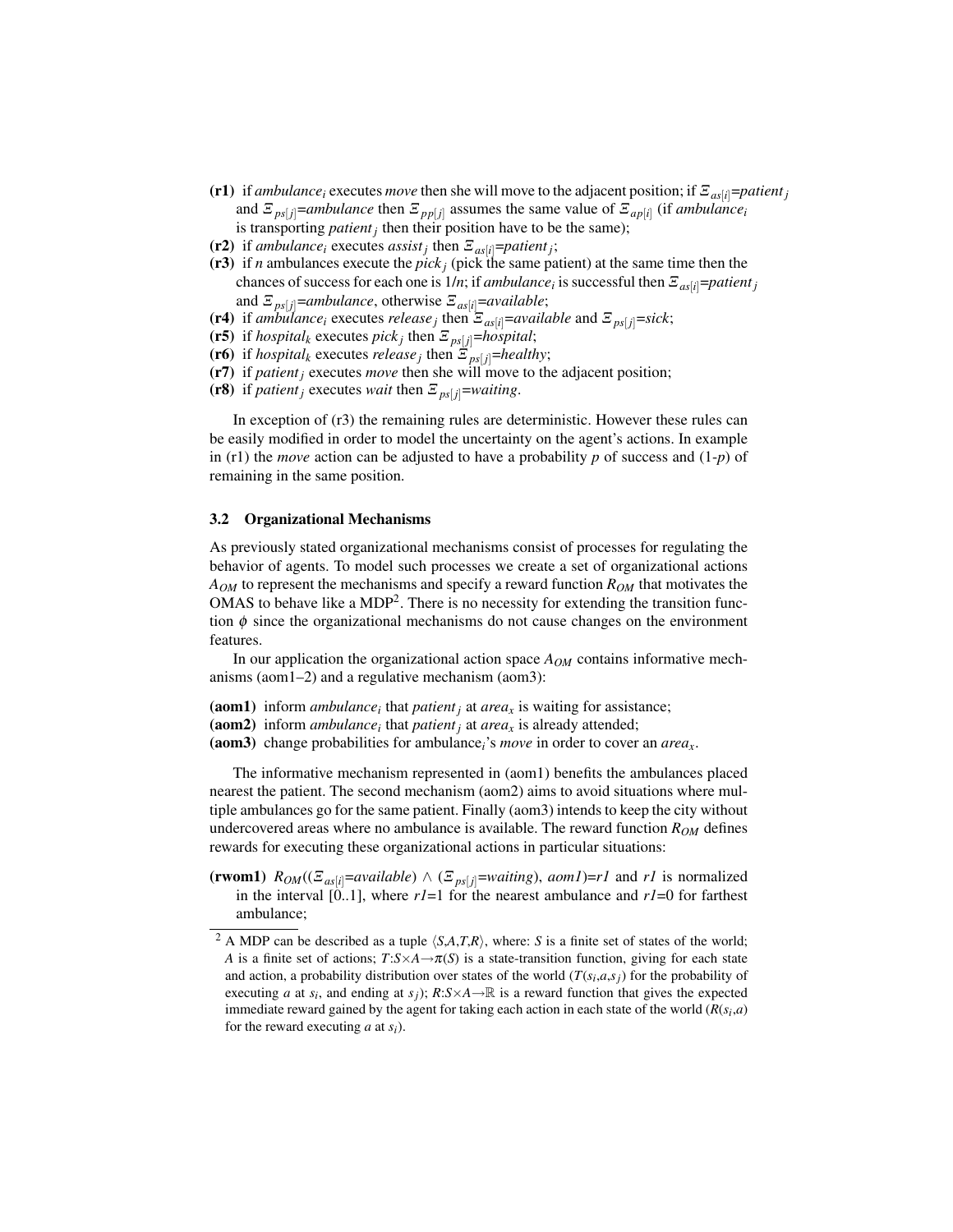- (r1) if *ambulance*<sub>*i*</sub> executes *move* then she will move to the adjacent position; if  $\mathcal{Z}_{as}[i] = patient_j$ and  $\mathcal{Z}_{ps}[j]$ =ambulance then  $\mathcal{Z}_{pp}[j]$  assumes the same value of  $\mathcal{Z}_{ap}[i]$  (if *ambulance*<sup>*i*</sup> is transporting *patient<sup>j</sup>* then their position have to be the same);
- (r2) if *ambulance*<sup>*i*</sup> executes *assist<sub>j</sub>* then  $\mathcal{Z}_{as[i]}$ =*patient<sub>j</sub>*;
- (r3) if *n* ambulances execute the *pick*  $_j$  (pick the same patient) at the same time then the chances of success for each one is  $1/n$ ; if  $ambulance_i$  is successful then  $\mathcal{Z}_{as[i]} = patient_j$ and  $\mathcal{Z}_{ps}[i] = \text{ambulance}$ , otherwise  $\mathcal{Z}_{as}[i] = \text{available}$ ;
- (r4) if *ambulance*<sup>*i*</sup> executes *release*<sub>*j*</sub> then  $\Xi_{as[i]}$ =*available* and  $\Xi_{ps[j]}$ =*sick*;
- (**r5**) if *hospital*<sub>*k*</sub> executes *pick*<sub>*j*</sub> then  $\mathbb{E}_{ps[j]}$ =*hospital*;
- (**r6**) if *hospital<sub>k</sub>* executes *release*<sub>*j*</sub> then  $\mathcal{E}_{ps[j]}$ =*healthy*;
- (r7) if *patient<sup>j</sup>* executes *move* then she will move to the adjacent position;
- (r8) if *patient<sub>j</sub>* executes *wait* then  $\mathcal{E}_{ps[j]}$ =*waiting*.

In exception of (r3) the remaining rules are deterministic. However these rules can be easily modified in order to model the uncertainty on the agent's actions. In example in (r1) the *move* action can be adjusted to have a probability *p* of success and (1-*p*) of remaining in the same position.

#### 3.2 Organizational Mechanisms

As previously stated organizational mechanisms consist of processes for regulating the behavior of agents. To model such processes we create a set of organizational actions *AOM* to represent the mechanisms and specify a reward function *ROM* that motivates the OMAS to behave like a MDP<sup>2</sup>. There is no necessity for extending the transition function  $\phi$  since the organizational mechanisms do not cause changes on the environment features.

In our application the organizational action space  $A_{OM}$  contains informative mechanisms (aom1–2) and a regulative mechanism (aom3):

- (aom1) inform *ambulance*<sup>*i*</sup> that *patient*<sub>*j*</sub> at *area*<sub>*x*</sub> is waiting for assistance;
- (aom2) inform *ambulance*<sup>*i*</sup> that *patient*<sup>*j*</sup> at *area*<sup>*x*</sup> is already attended;

(aom3) change probabilities for ambulance*i*'s *move* in order to cover an *areax*.

The informative mechanism represented in (aom1) benefits the ambulances placed nearest the patient. The second mechanism (aom2) aims to avoid situations where multiple ambulances go for the same patient. Finally (aom3) intends to keep the city without undercovered areas where no ambulance is available. The reward function  $R_{OM}$  defines rewards for executing these organizational actions in particular situations:

(rwom1)  $R_{OM}((\mathcal{Z}_{as[i]}=available) \wedge (\mathcal{Z}_{ps[j]}=waiting)$ , *aom1*)=*r1* and *r1* is normalized in the interval [0..1], where *r1*=1 for the nearest ambulance and *r1*=0 for farthest ambulance;

<sup>&</sup>lt;sup>2</sup> A MDP can be described as a tuple  $\langle S, A, T, R \rangle$ , where: *S* is a finite set of states of the world; *A* is a finite set of actions;  $T: S \times A \rightarrow \pi(S)$  is a state-transition function, giving for each state and action, a probability distribution over states of the world  $(T(s_i, a, s_j))$  for the probability of executing *a* at  $s_i$ , and ending at  $s_j$ );  $R: S \times A \rightarrow \mathbb{R}$  is a reward function that gives the expected immediate reward gained by the agent for taking each action in each state of the world (*R*(*si* ,*a*) for the reward executing *a* at *si*).